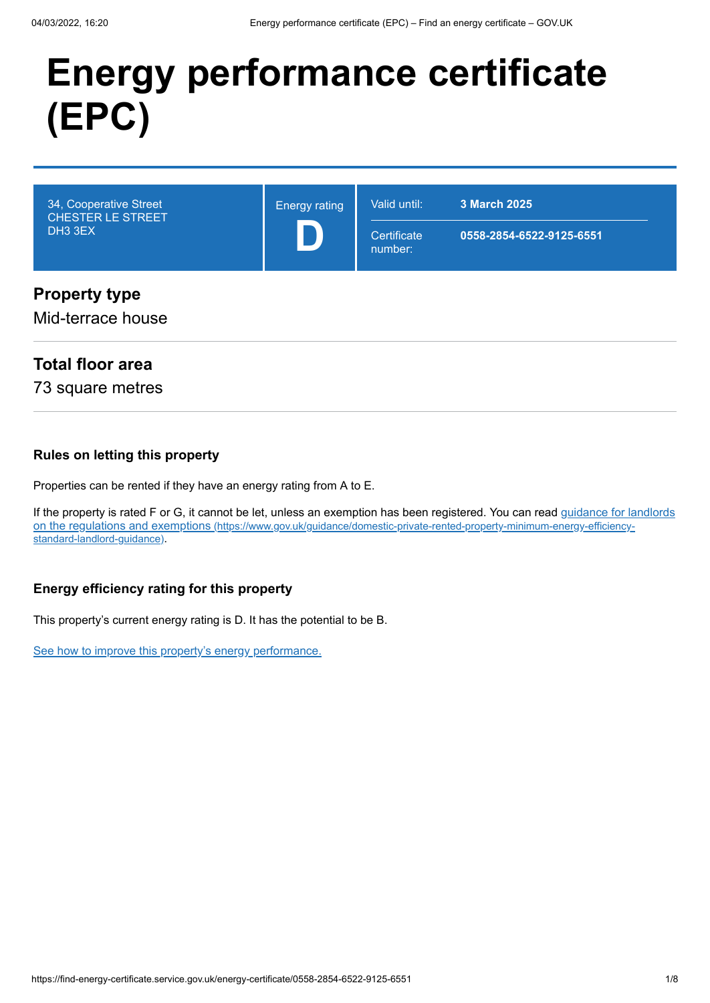# **Energy performance certificate (EPC)**



## **Total floor area**

73 square metres

#### **Rules on letting this property**

Properties can be rented if they have an energy rating from A to E.

[If the property is rated F or G, it cannot be let, unless an exemption has been registered. You can read guidance for landlords](https://www.gov.uk/guidance/domestic-private-rented-property-minimum-energy-efficiency-standard-landlord-guidance) on the regulations and exemptions (https://www.gov.uk/guidance/domestic-private-rented-property-minimum-energy-efficiencystandard-landlord-guidance).

#### **Energy efficiency rating for this property**

This property's current energy rating is D. It has the potential to be B.

[See how to improve this property's energy performance.](#page-3-0)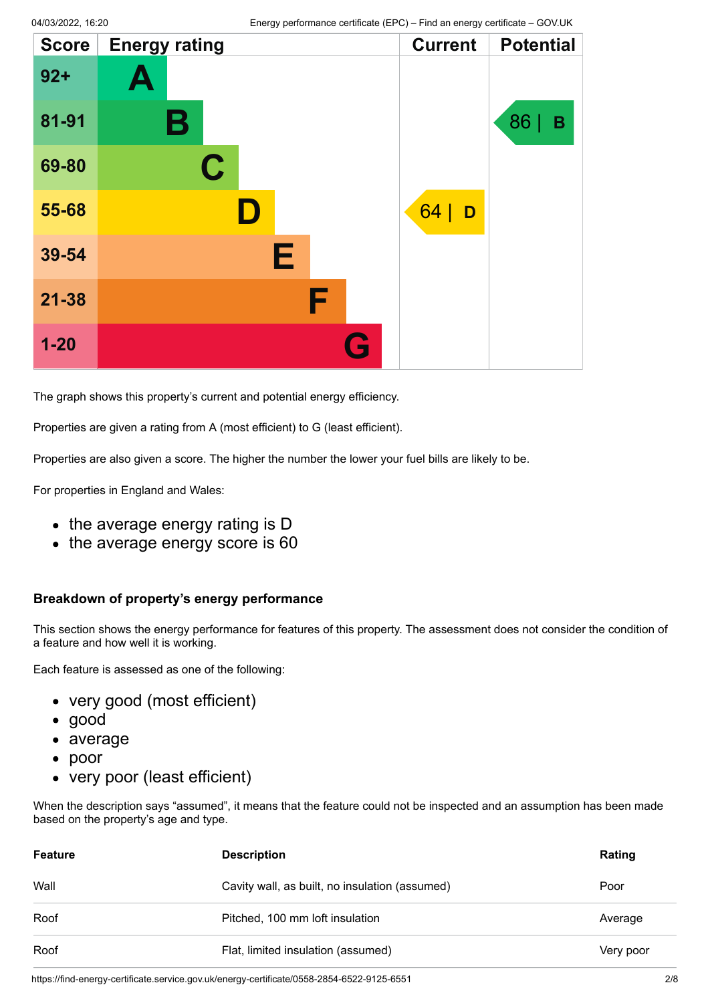| <b>Score</b> | <b>Energy rating</b> | <b>Current</b> | <b>Potential</b> |
|--------------|----------------------|----------------|------------------|
| $92 +$       | Ą                    |                |                  |
| 81-91        | В                    |                | 86<br>B          |
| 69-80        | $\mathbf C$          |                |                  |
| 55-68        | D                    | 64<br>D        |                  |
| 39-54        | Е                    |                |                  |
| $21 - 38$    | F                    |                |                  |
| $1 - 20$     |                      | G              |                  |

The graph shows this property's current and potential energy efficiency.

Properties are given a rating from A (most efficient) to G (least efficient).

Properties are also given a score. The higher the number the lower your fuel bills are likely to be.

For properties in England and Wales:

- the average energy rating is D
- the average energy score is 60

#### **Breakdown of property's energy performance**

This section shows the energy performance for features of this property. The assessment does not consider the condition of a feature and how well it is working.

Each feature is assessed as one of the following:

- very good (most efficient)
- good
- average
- poor
- very poor (least efficient)

When the description says "assumed", it means that the feature could not be inspected and an assumption has been made based on the property's age and type.

| Very poor |
|-----------|
| Average   |

https://find-energy-certificate.service.gov.uk/energy-certificate/0558-2854-6522-9125-6551 2/8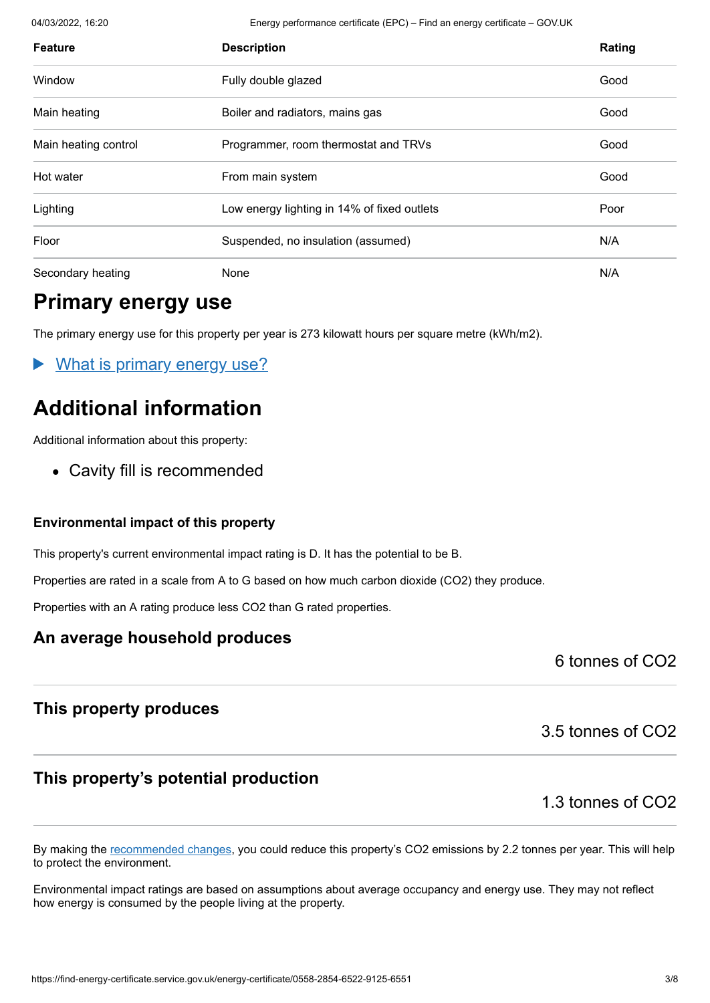04/03/2022, 16:20 Energy performance certificate (EPC) – Find an energy certificate – GOV.UK

| <b>Feature</b>       | <b>Description</b>                          | Rating |
|----------------------|---------------------------------------------|--------|
| Window               | Fully double glazed                         | Good   |
| Main heating         | Boiler and radiators, mains gas             | Good   |
| Main heating control | Programmer, room thermostat and TRVs        | Good   |
| Hot water            | From main system                            | Good   |
| Lighting             | Low energy lighting in 14% of fixed outlets | Poor   |
| Floor                | Suspended, no insulation (assumed)          | N/A    |
| Secondary heating    | None                                        | N/A    |

## **Primary energy use**

The primary energy use for this property per year is 273 kilowatt hours per square metre (kWh/m2).

What is primary energy use?

# **Additional information**

Additional information about this property:

• Cavity fill is recommended

#### **Environmental impact of this property**

This property's current environmental impact rating is D. It has the potential to be B.

Properties are rated in a scale from A to G based on how much carbon dioxide (CO2) they produce.

Properties with an A rating produce less CO2 than G rated properties.

#### **An average household produces**

6 tonnes of CO2

#### **This property produces**

#### **This property's potential production**

1.3 tonnes of CO2

3.5 tonnes of CO2

By making the [recommended changes](#page-3-0), you could reduce this property's CO2 emissions by 2.2 tonnes per year. This will help to protect the environment.

Environmental impact ratings are based on assumptions about average occupancy and energy use. They may not reflect how energy is consumed by the people living at the property.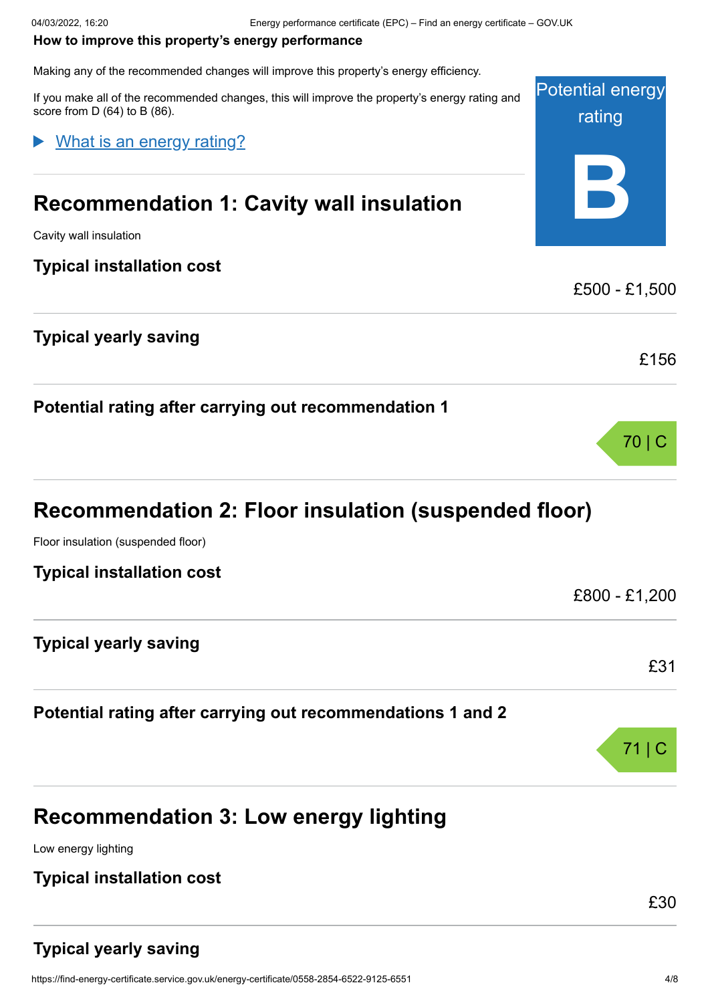#### <span id="page-3-0"></span>**How to improve this property's energy performance**

Making any of the recommended changes will improve this property's energy efficiency.

Potential energy rating **B** If you make all of the recommended changes, this will improve the property's energy rating and score from D (64) to B (86). **Recommendation 1: Cavity wall insulation** Cavity wall insulation **Typical installation cost** £500 - £1,500 **Typical yearly saving** £156 **Potential rating after carrying out recommendation 1** 70 | C **Recommendation 2: Floor insulation (suspended floor)** Floor insulation (suspended floor) **Typical installation cost** £800 - £1,200 What is an energy rating?

**Typical yearly saving**

#### **Potential rating after carrying out recommendations 1 and 2**

| 711C |
|------|
|      |
|      |

# **Recommendation 3: Low energy lighting**

Low energy lighting

#### **Typical installation cost**

£30

£31

## **Typical yearly saving**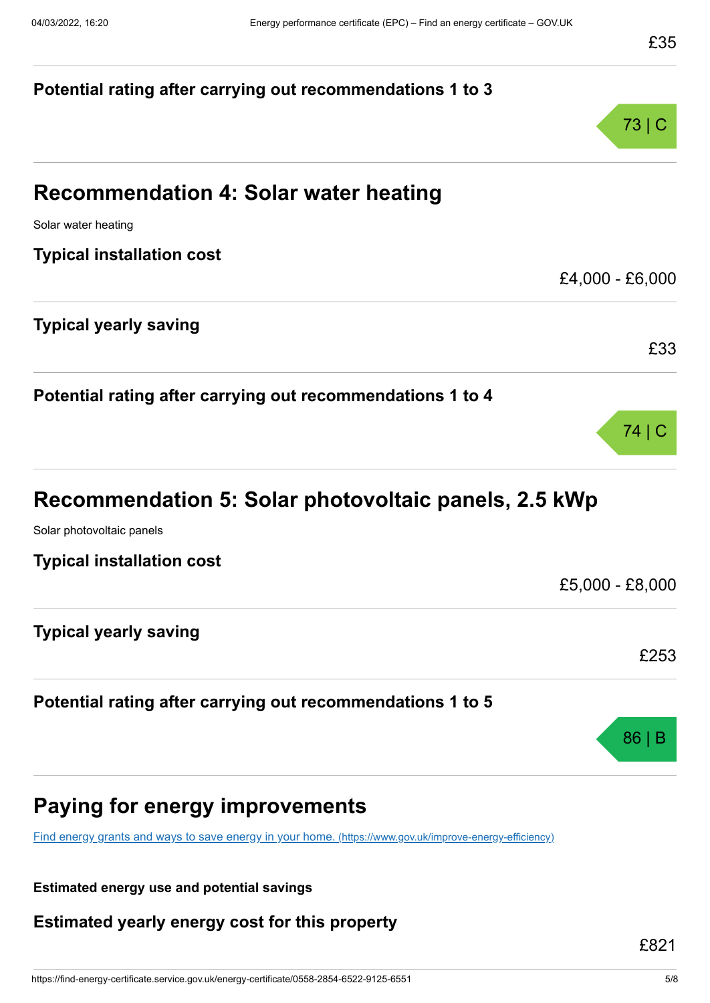| Potential rating after carrying out recommendations 1 to 3                                              |                 |
|---------------------------------------------------------------------------------------------------------|-----------------|
|                                                                                                         | 73 C            |
| <b>Recommendation 4: Solar water heating</b>                                                            |                 |
| Solar water heating                                                                                     |                 |
| <b>Typical installation cost</b>                                                                        |                 |
|                                                                                                         | £4,000 - £6,000 |
| <b>Typical yearly saving</b>                                                                            |                 |
|                                                                                                         | £33             |
| Potential rating after carrying out recommendations 1 to 4                                              |                 |
|                                                                                                         | 74   C          |
| Recommendation 5: Solar photovoltaic panels, 2.5 kWp                                                    |                 |
| Solar photovoltaic panels                                                                               |                 |
| <b>Typical installation cost</b>                                                                        | £5,000 - £8,000 |
|                                                                                                         |                 |
| <b>Typical yearly saving</b>                                                                            |                 |
|                                                                                                         | £253            |
| Potential rating after carrying out recommendations 1 to 5                                              |                 |
|                                                                                                         | 86              |
| <b>Paying for energy improvements</b>                                                                   |                 |
| Find energy grants and ways to save energy in your home. (https://www.gov.uk/improve-energy-efficiency) |                 |

**Estimated energy use and potential savings**

**Estimated yearly energy cost for this property**

£821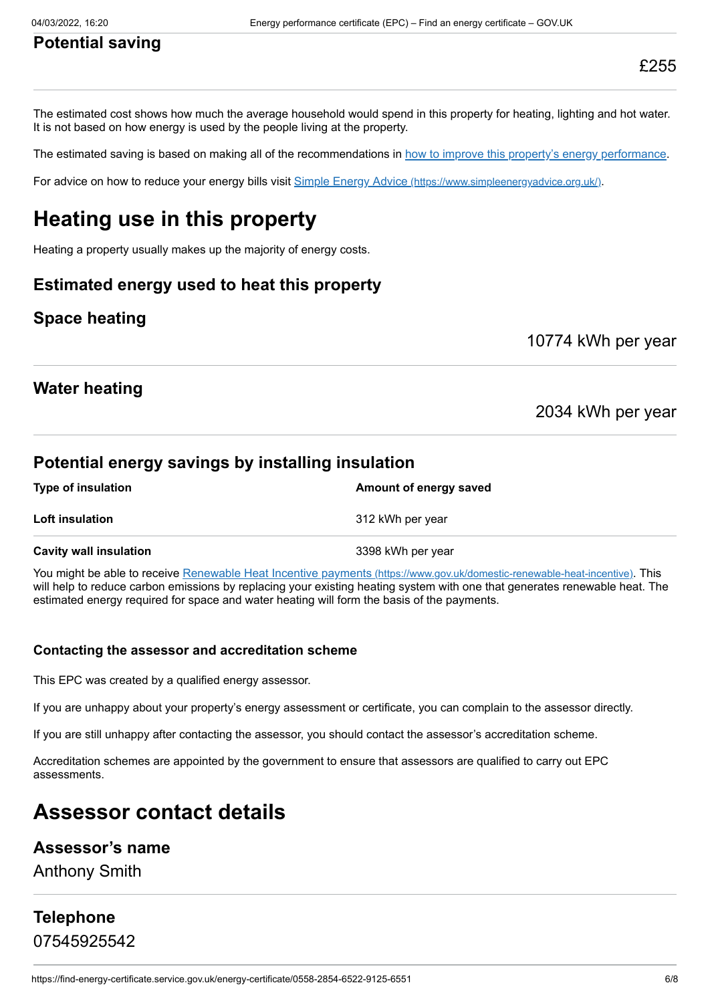## **Potential saving**

The estimated cost shows how much the average household would spend in this property for heating, lighting and hot water. It is not based on how energy is used by the people living at the property.

The estimated saving is based on making all of the recommendations in [how to improve this property's energy performance.](#page-3-0)

For advice on how to reduce your energy bills visit Simple Energy Advice [\(https://www.simpleenergyadvice.org.uk/\)](https://www.simpleenergyadvice.org.uk/).

# **Heating use in this property**

Heating a property usually makes up the majority of energy costs.

#### **Estimated energy used to heat this property**

#### **Space heating**

10774 kWh per year

#### **Water heating**

2034 kWh per year

#### **Potential energy savings by installing insulation**

| <b>Type of insulation</b>     | Amount of energy saved |  |
|-------------------------------|------------------------|--|
| <b>Loft insulation</b>        | 312 kWh per year       |  |
| <b>Cavity wall insulation</b> | 3398 kWh per year      |  |

You might be able to receive Renewable Heat Incentive payments [\(https://www.gov.uk/domestic-renewable-heat-incentive\)](https://www.gov.uk/domestic-renewable-heat-incentive). This will help to reduce carbon emissions by replacing your existing heating system with one that generates renewable heat. The estimated energy required for space and water heating will form the basis of the payments.

#### **Contacting the assessor and accreditation scheme**

This EPC was created by a qualified energy assessor.

If you are unhappy about your property's energy assessment or certificate, you can complain to the assessor directly.

If you are still unhappy after contacting the assessor, you should contact the assessor's accreditation scheme.

Accreditation schemes are appointed by the government to ensure that assessors are qualified to carry out EPC assessments.

# **Assessor contact details**

#### **Assessor's name**

Anthony Smith

### **Telephone** 07545925542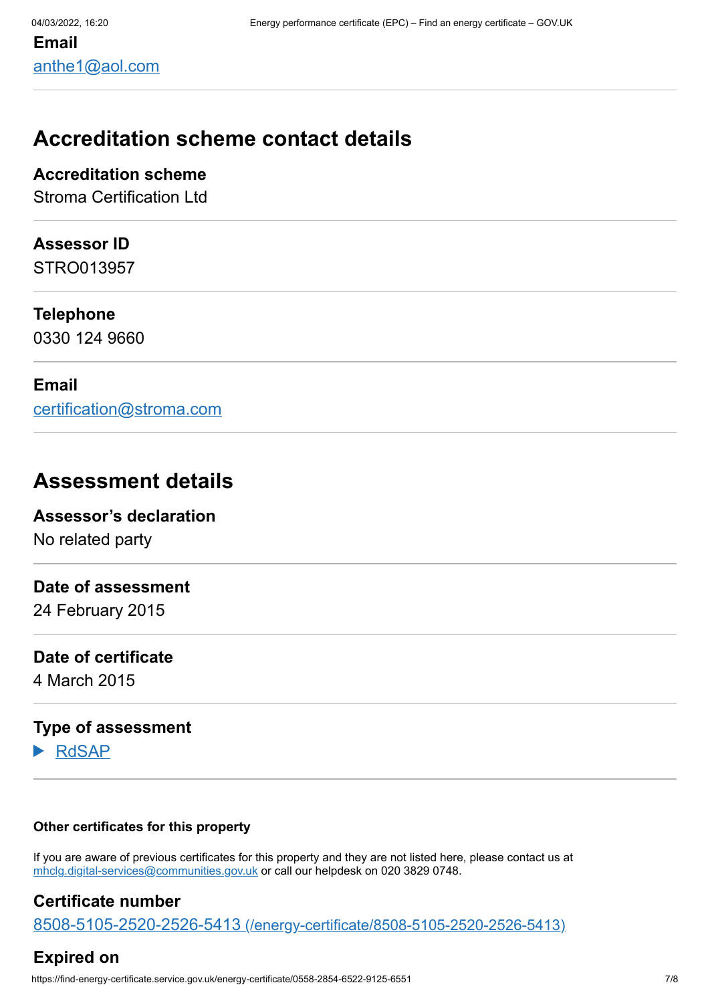# **Accreditation scheme contact details**

**Accreditation scheme**

Stroma Certification Ltd

#### **Assessor ID**

STRO013957

#### **Telephone**

0330 124 9660

#### **Email**

[certification@stroma.com](mailto:certification@stroma.com)

## **Assessment details**

## **Assessor's declaration**

No related party

#### **Date of assessment**

24 February 2015

#### **Date of certificate**

4 March 2015

### **Type of assessment**

RdSAP

#### **Other certificates for this property**

If you are aware of previous certificates for this property and they are not listed here, please contact us at [mhclg.digital-services@communities.gov.uk](mailto:mhclg.digital-services@communities.gov.uk?subject=EPB%20-) or call our helpdesk on 020 3829 0748.

### **Certificate number**

8508-5105-2520-2526-5413 [\(/energy-certificate/8508-5105-2520-2526-5413\)](https://find-energy-certificate.service.gov.uk/energy-certificate/8508-5105-2520-2526-5413)

## **Expired on**